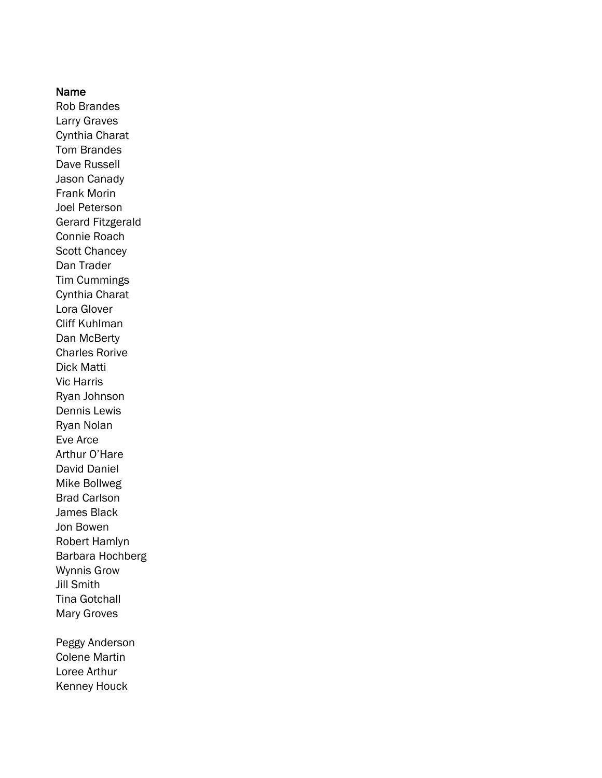### Name

Rob Brandes Larry Graves Cynthia Charat Tom Brandes Dave Russell Jason Canady Frank Morin Joel Peterson Gerard Fitzgerald Connie Roach Scott Chancey Dan Trader Tim Cummings Cynthia Charat Lora Glover Cliff Kuhlman Dan McBerty Charles Rorive Dick Matti Vic Harris Ryan Johnson Dennis Lewis Ryan Nolan Eve Arce Arthur O'Hare David Daniel Mike Bollweg Brad Carlson James Black Jon Bowen Robert Hamlyn Barbara Hochberg Wynnis Grow Jill Smith Tina Gotchall Mary Groves Peggy Anderson

Colene Martin Loree Arthur Kenney Houck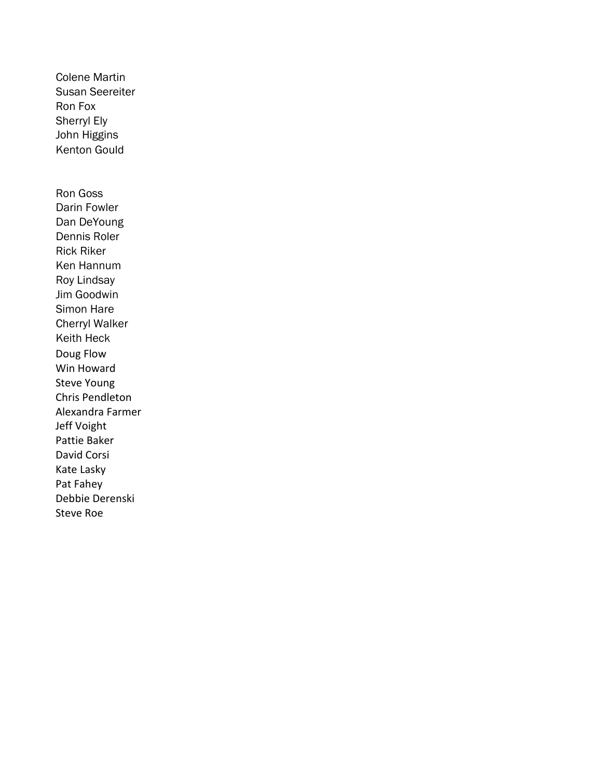Susan Seereiter Ron Fox Sherryl Ely John Higgins Kenton Gould Ron Goss Darin Fowler Dan DeYoung Dennis Roler Rick Riker Ken Hannum Roy Lindsay Jim Goodwin Simon Hare Cherryl Walker Keith Heck Doug Flow Win Howard Steve Young Chris Pendleton Alexandra Farmer Jeff Voight Pattie Baker David Corsi Kate Lasky Pat Fahey Debbie Derenski Steve Roe

Colene Martin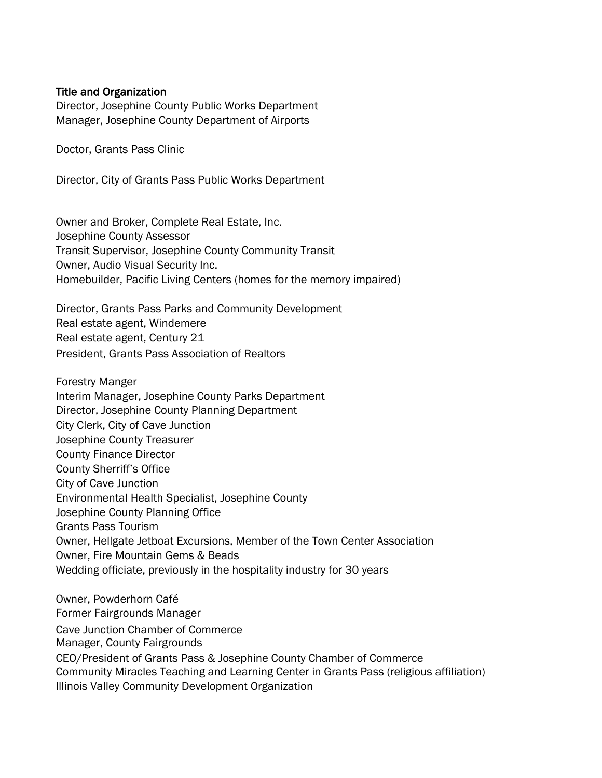## Title and Organization

Director, Josephine County Public Works Department Manager, Josephine County Department of Airports

Doctor, Grants Pass Clinic

Director, City of Grants Pass Public Works Department

Owner and Broker, Complete Real Estate, Inc. Josephine County Assessor Transit Supervisor, Josephine County Community Transit Owner, Audio Visual Security Inc. Homebuilder, Pacific Living Centers (homes for the memory impaired)

Director, Grants Pass Parks and Community Development Real estate agent, Windemere Real estate agent, Century 21 President, Grants Pass Association of Realtors

Forestry Manger Interim Manager, Josephine County Parks Department Director, Josephine County Planning Department City Clerk, City of Cave Junction Josephine County Treasurer County Finance Director County Sherriff's Office City of Cave Junction Environmental Health Specialist, Josephine County Josephine County Planning Office Grants Pass Tourism Owner, Hellgate Jetboat Excursions, Member of the Town Center Association Owner, Fire Mountain Gems & Beads Wedding officiate, previously in the hospitality industry for 30 years

Owner, Powderhorn Café Former Fairgrounds Manager Cave Junction Chamber of Commerce Manager, County Fairgrounds CEO/President of Grants Pass & Josephine County Chamber of Commerce Community Miracles Teaching and Learning Center in Grants Pass (religious affiliation) Illinois Valley Community Development Organization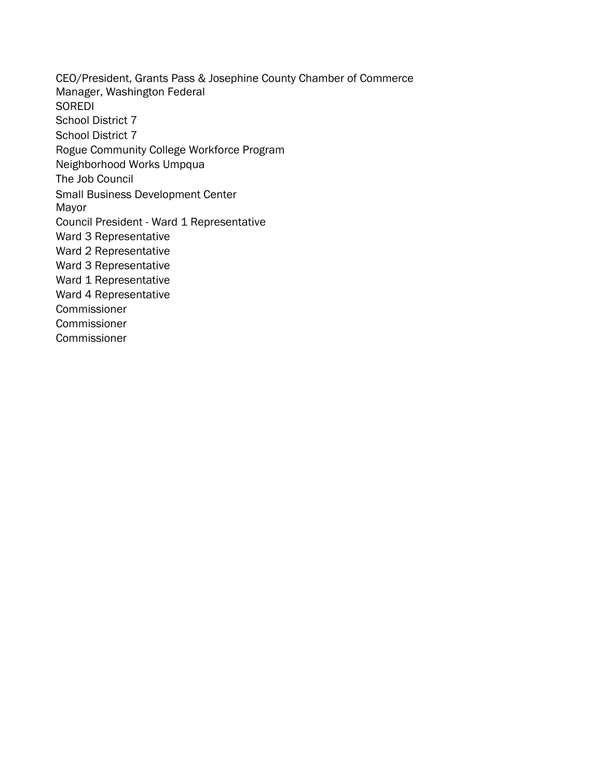CEO/President, Grants Pass & Josephine County Chamber of Commerce Manager, Washington Federal SOREDI School District 7 School District 7 Rogue Community College Workforce Program Neighborhood Works Umpqua The Job Council Small Business Development Center Mayor Council President - Ward 1 Representative Ward 3 Representative Ward 2 Representative Ward 3 Representative Ward 1 Representative Ward 4 Representative **Commissioner Commissioner** Commissioner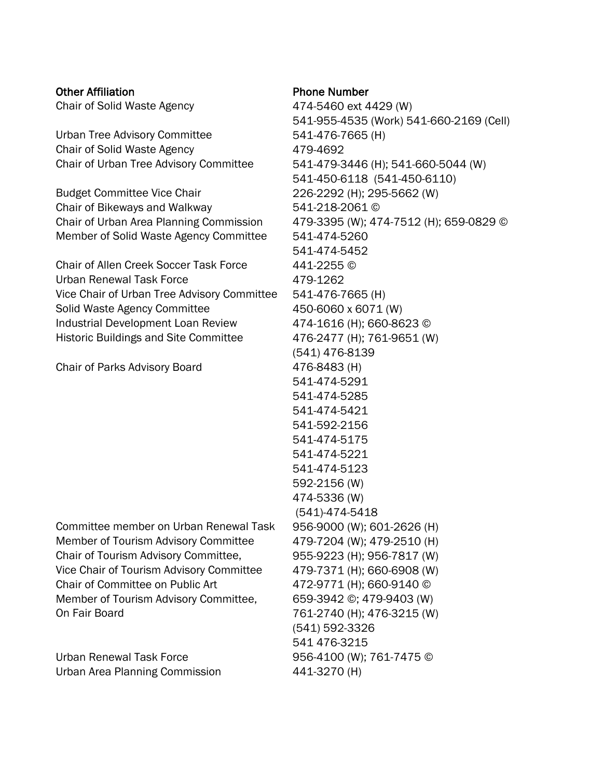# Other Affiliation **Phone Number**

Urban Tree Advisory Committee 541-476-7665 (H) Chair of Solid Waste Agency 479-4692

Budget Committee Vice Chair 226-2292 (H); 295-5662 (W) Chair of Bikeways and Walkway 541-218-2061 © Chair of Urban Area Planning Commission 479-3395 (W); 474-7512 (H); 659-0829 © Member of Solid Waste Agency Committee 541-474-5260

Chair of Allen Creek Soccer Task Force 441-2255 © Urban Renewal Task Force 479-1262 Vice Chair of Urban Tree Advisory Committee 541-476-7665 (H) Solid Waste Agency Committee 450-6060 x 6071 (W) Industrial Development Loan Review 474-1616 (H); 660-8623 © Historic Buildings and Site Committee 476-2477 (H); 761-9651 (W)

Chair of Parks Advisory Board 476-8483 (H)

Committee member on Urban Renewal Task 956-9000 (W); 601-2626 (H) Member of Tourism Advisory Committee 479-7204 (W); 479-2510 (H) Chair of Tourism Advisory Committee, 955-9223 (H); 956-7817 (W) Vice Chair of Tourism Advisory Committee 479-7371 (H); 660-6908 (W) Chair of Committee on Public Art 472-9771 (H); 660-9140 © Member of Tourism Advisory Committee, 659-3942 ©; 479-9403 (W) On Fair Board 761-2740 (H); 476-3215 (W)

Urban Renewal Task Force 956-4100 (W); 761-7475 © Urban Area Planning Commission 441-3270 (H)

Chair of Solid Waste Agency 474-5460 ext 4429 (W) 541-955-4535 (Work) 541-660-2169 (Cell) Chair of Urban Tree Advisory Committee 541-479-3446 (H); 541-660-5044 (W) 541-450-6118 (541-450-6110) 541-474-5452 (541) 476-8139 541-474-5291 541-474-5285 541-474-5421 541-592-2156 541-474-5175 541-474-5221 541-474-5123 592-2156 (W) 474-5336 (W) (541)-474-5418 (541) 592-3326 541 476-3215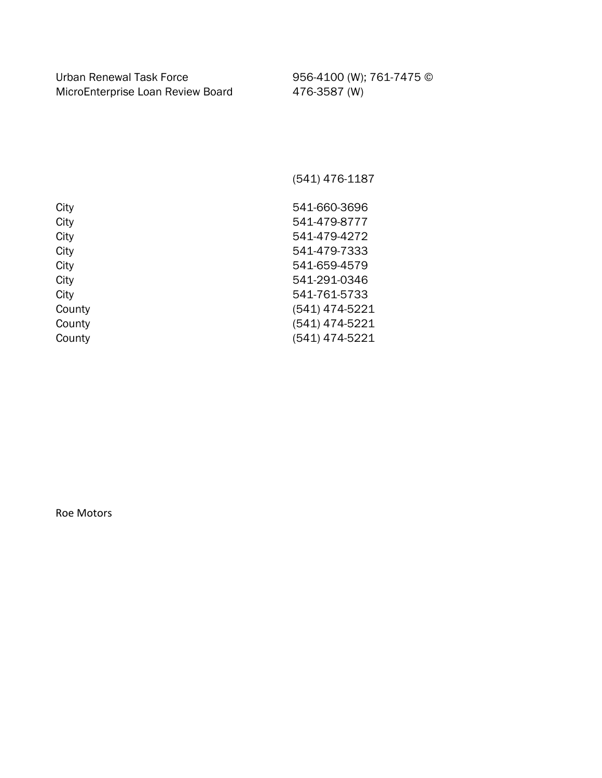Urban Renewal Task Force 956-4100 (W); 761-7475 © MicroEnterprise Loan Review Board 476-3587 (W)

(541) 476-1187

City 541-660-3696 City 541-479-8777 City 541-479-4272 City 541-479-7333 City 541-659-4579 City 541-291-0346 City 541-761-5733 County (541) 474-5221 County (541) 474-5221 County (541) 474-5221

Roe Motors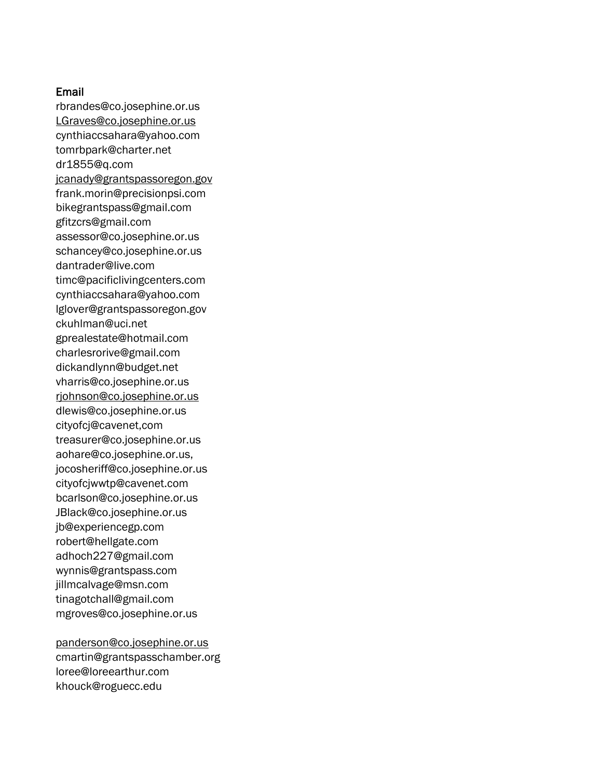## Email

[rbrandes@co.josephine.or.us](mailto:rbrandes@co.josephine.or.us) [LGraves@co.josephine.or.us](mailto:LGraves@co.josephine.or.us) [cynthiaccsahara@yahoo.com](mailto:cynthiaccsahara@yahoo.com) [tomrbpark@charter.net](mailto:tomrbpark@charter.net) [dr1855@q.com](mailto:dr1855@q.com) [jcanady@grantspassoregon.gov](mailto:jcanady@grantspassoregon.gov) [frank.morin@precisionpsi.com](mailto:frank.morin@precisionpsi.com) [bikegrantspass@gmail.com](mailto:bikegrantspass@gmail.com) [gfitzcrs@gmail.com](mailto:gfitzcrs@gmail.com) [assessor@co.josephine.or.us](mailto:assessor@co.josephine.or.us) schancey@co.josephine.or.us [dantrader@live.com](mailto:dantrader@live.com) [timc@pacificlivingcenters.com](mailto:timc@pacificlivingcenters.com) cynthiaccsahara@yahoo.com lglover@grantspassoregon.gov [ckuhlman@uci.net](mailto:ckuhlman@uci.net) [gprealestate@hotmail.com](mailto:gprealestate@hotmail.com) [charlesrorive@gmail.com](mailto:charlesrorive@gmail.com) [dickandlynn@budget.net](mailto:dickandlynn@budget.net) vharris@co.josephine.or.us [rjohnson@co.josephine.or.us](mailto:rjohnson@co.josephine.or.us) dlewis@co.josephine.or.us cityofcj@cavenet,com treasurer@co.josephine.or.us aohare@co.josephine.or.us, [jocosheriff@co.josephine.or.us](mailto:jocosheriff@co.josephine.or.us) [cityofcjwwtp@cavenet.com](mailto:cityofcjwwtp@cavenet.com) [bcarlson@co.josephine.or.us](mailto:bcarlson@co.josephine.or.us) JBlack@co.josephine.or.us [jb@experiencegp.com](mailto:jb@experiencegp.com) [robert@hellgate.com](mailto:robert@hellgate.com) [adhoch227@gmail.com](mailto:adhoch227@gmail.com) [wynnis@grantspass.com](mailto:wynnis@grantspass.com) [jillmcalvage@msn.com](mailto:jillmcalvage@msn.com) [tinagotchall@gmail.com](mailto:tinagotchall@gmail.com) [mgroves@co.josephine.or.us](mailto:mgrovers@co.josephine.or.us)

[panderson@co.josephine.or.us](mailto:panderson@co.josephine.or.us) [cmartin@grantspasschamber.org](mailto:cmartin@grantspasschamber.org) [loree@loreearthur.com](mailto:loree@loreearthur.com) [khouck@roguecc.edu](mailto:khouck@roguecc.edu)